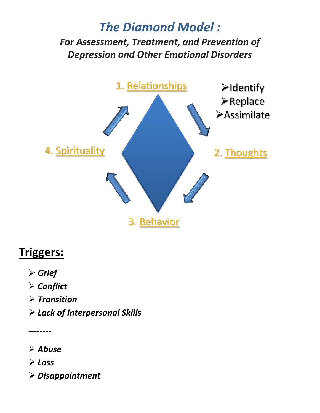## *The Diamond Model : For Assessment, Treatment, and Prevention of Depression and Other Emotional Disorders*



## **Triggers:**

- *Grief*
- *Conflict*
- *Transition*
- *Lack of Interpersonal Skills*

*--------*

*Abuse* 

*Loss* 

*Disappointment*